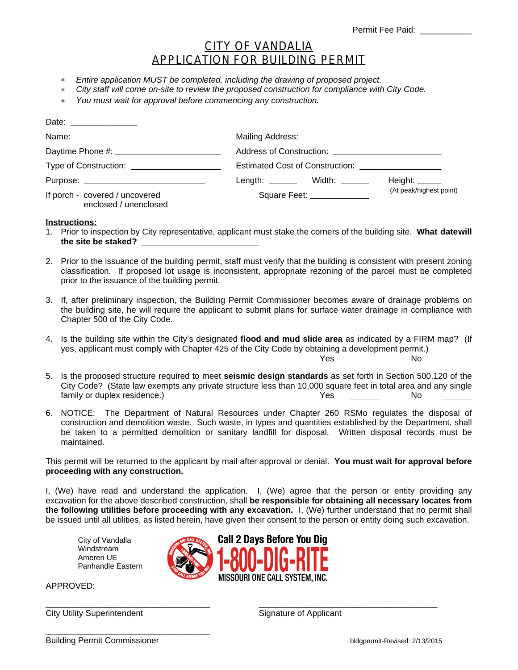## CITY OF VANDALIA APPLICATION FOR BUILDING PERMIT

- *Entire application MUST be completed, including the drawing of proposed project.*
- *City staff will come on-site to review the proposed construction for compliance with City Code.*
- *You must wait for approval before commencing any construction.*

|                                                         | Length: $\_\_\_\_\$ Width: $\_\_\_\_\_\_\_\_\$ | Height: $\_\_$          |
|---------------------------------------------------------|------------------------------------------------|-------------------------|
| If porch - covered / uncovered<br>enclosed / unenclosed | Square Feet: _____________                     | (At peak/highest point) |

## **Instructions:**

- 1. Prior to inspection by City representative, applicant must stake the corners of the building site. **What datewill the site be staked? \_\_\_\_\_\_\_\_\_\_\_\_\_\_\_\_\_\_\_\_\_\_\_\_\_**
- 2. Prior to the issuance of the building permit, staff must verify that the building is consistent with present zoning classification. If proposed lot usage is inconsistent, appropriate rezoning of the parcel must be completed prior to the issuance of the building permit.
- 3. If, after preliminary inspection, the Building Permit Commissioner becomes aware of drainage problems on the building site, he will require the applicant to submit plans for surface water drainage in compliance with Chapter 500 of the City Code.
- 4. Is the building site within the City's designated **flood and mud slide area** as indicated by a FIRM map? (If yes, applicant must comply with Chapter 425 of the City Code by obtaining a development permit.) Yes No
- 5. Is the proposed structure required to meet **seismic design standards** as set forth in Section 500.120 of the City Code? (State law exempts any private structure less than 10,000 square feet in total area and any single family or duplex residence.) The state of the state of the SNo  $\sim$  No  $\sim$  No  $\sim$  No  $\sim$  No  $\sim$  No  $\sim$  No  $\sim$  No  $\sim$  No  $\sim$  No  $\sim$  No  $\sim$  No  $\sim$  No  $\sim$  No  $\sim$  No  $\sim$  No  $\sim$  No  $\sim$  No  $\sim$  No  $\sim$  No  $\sim$  No
- 6. NOTICE: The Department of Natural Resources under Chapter 260 RSMo regulates the disposal of construction and demolition waste. Such waste, in types and quantities established by the Department, shall be taken to a permitted demolition or sanitary landfill for disposal. Written disposal records must be maintained.

This permit will be returned to the applicant by mail after approval or denial. **You must wait for approval before proceeding with any construction.**

I, (We) have read and understand the application. I, (We) agree that the person or entity providing any excavation for the above described construction, shall **be responsible for obtaining all necessary locates from the following utilities before proceeding with any excavation.** I, (We) further understand that no permit shall be issued until all utilities, as listed herein, have given their consent to the person or entity doing such excavation.

**Call 2 Davs Before You Dig** 

MISSOURI ONE CALL SYSTEM. INC.

City of Vandalia Windstream Ameren UE Panhandle Eastern

APPROVED:

\_\_\_\_\_\_\_\_\_\_\_\_\_\_\_\_\_\_\_\_\_\_\_\_\_\_\_\_\_\_\_\_\_\_\_ \_\_\_\_\_\_\_\_\_\_\_\_\_\_\_\_\_\_\_\_\_\_\_\_\_\_\_\_\_\_\_\_\_\_\_\_\_\_ City Utility Superintendent Signature of Applicant

Building Permit Commissioner bldgpermit-Revised: 2/13/2015

\_\_\_\_\_\_\_\_\_\_\_\_\_\_\_\_\_\_\_\_\_\_\_\_\_\_\_\_\_\_\_\_\_\_\_